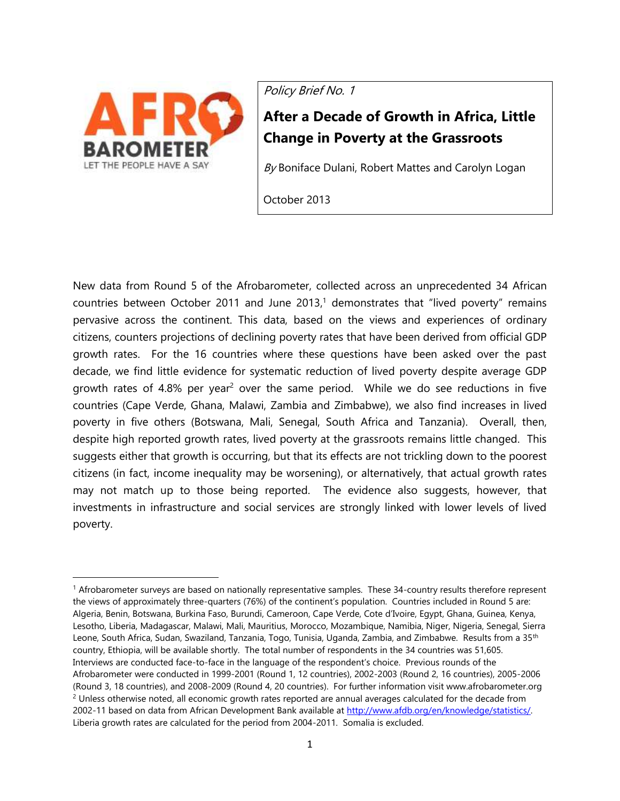

 $\overline{a}$ 

Policy Brief No. 1

# **After a Decade of Growth in Africa, Little Change in Poverty at the Grassroots**

 $By$  Boniface Dulani, Robert Mattes and Carolyn Logan

October 2013

New data from Round 5 of the Afrobarometer, collected across an unprecedented 34 African countries between October 2011 and June 2013, <sup>1</sup> demonstrates that "lived poverty" remains pervasive across the continent. This data, based on the views and experiences of ordinary citizens, counters projections of declining poverty rates that have been derived from official GDP growth rates. For the 16 countries where these questions have been asked over the past decade, we find little evidence for systematic reduction of lived poverty despite average GDP growth rates of 4.8% per year<sup>2</sup> over the same period. While we do see reductions in five countries (Cape Verde, Ghana, Malawi, Zambia and Zimbabwe), we also find increases in lived poverty in five others (Botswana, Mali, Senegal, South Africa and Tanzania). Overall, then, despite high reported growth rates, lived poverty at the grassroots remains little changed. This suggests either that growth is occurring, but that its effects are not trickling down to the poorest citizens (in fact, income inequality may be worsening), or alternatively, that actual growth rates may not match up to those being reported. The evidence also suggests, however, that investments in infrastructure and social services are strongly linked with lower levels of lived poverty.

<sup>1</sup> Afrobarometer surveys are based on nationally representative samples. These 34-country results therefore represent the views of approximately three-quarters (76%) of the continent's population. Countries included in Round 5 are: Algeria, Benin, Botswana, Burkina Faso, Burundi, Cameroon, Cape Verde, Cote d'Ivoire, Egypt, Ghana, Guinea, Kenya, Lesotho, Liberia, Madagascar, Malawi, Mali, Mauritius, Morocco, Mozambique, Namibia, Niger, Nigeria, Senegal, Sierra Leone, South Africa, Sudan, Swaziland, Tanzania, Togo, Tunisia, Uganda, Zambia, and Zimbabwe. Results from a 35<sup>th</sup> country, Ethiopia, will be available shortly. The total number of respondents in the 34 countries was 51,605. Interviews are conducted face-to-face in the language of the respondent's choice. Previous rounds of the Afrobarometer were conducted in 1999-2001 (Round 1, 12 countries), 2002-2003 (Round 2, 16 countries), 2005-2006 (Round 3, 18 countries), and 2008-2009 (Round 4, 20 countries). For further information visit www.afrobarometer.org  $2$  Unless otherwise noted, all economic growth rates reported are annual averages calculated for the decade from 2002-11 based on data from African Development Bank available a[t http://www.afdb.org/en/knowledge/statistics/.](http://www.afdb.org/en/knowledge/statistics/) Liberia growth rates are calculated for the period from 2004-2011. Somalia is excluded.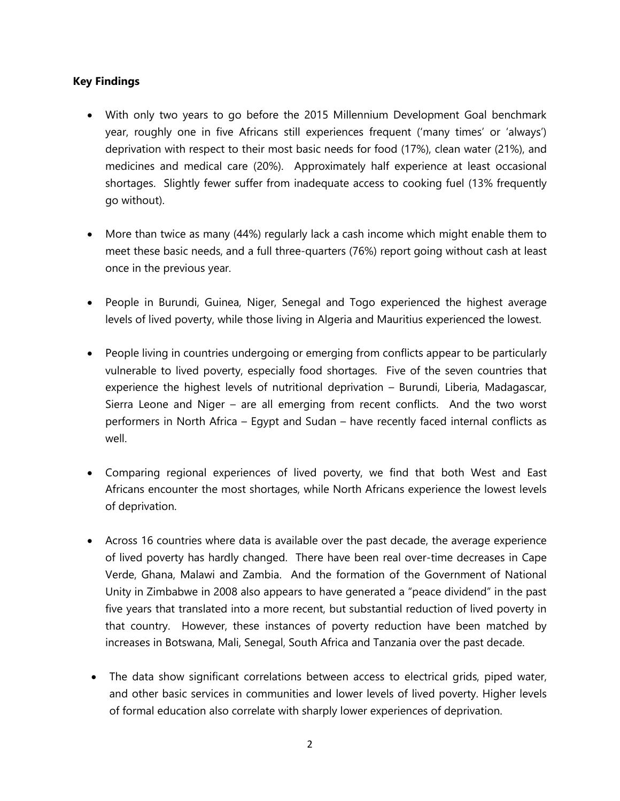## **Key Findings**

- With only two years to go before the 2015 Millennium Development Goal benchmark year, roughly one in five Africans still experiences frequent ('many times' or 'always') deprivation with respect to their most basic needs for food (17%), clean water (21%), and medicines and medical care (20%). Approximately half experience at least occasional shortages. Slightly fewer suffer from inadequate access to cooking fuel (13% frequently go without).
- More than twice as many (44%) regularly lack a cash income which might enable them to meet these basic needs, and a full three-quarters (76%) report going without cash at least once in the previous year.
- People in Burundi, Guinea, Niger, Senegal and Togo experienced the highest average levels of lived poverty, while those living in Algeria and Mauritius experienced the lowest.
- People living in countries undergoing or emerging from conflicts appear to be particularly vulnerable to lived poverty, especially food shortages. Five of the seven countries that experience the highest levels of nutritional deprivation – Burundi, Liberia, Madagascar, Sierra Leone and Niger – are all emerging from recent conflicts. And the two worst performers in North Africa – Egypt and Sudan – have recently faced internal conflicts as well.
- Comparing regional experiences of lived poverty, we find that both West and East Africans encounter the most shortages, while North Africans experience the lowest levels of deprivation.
- Across 16 countries where data is available over the past decade, the average experience of lived poverty has hardly changed. There have been real over-time decreases in Cape Verde, Ghana, Malawi and Zambia. And the formation of the Government of National Unity in Zimbabwe in 2008 also appears to have generated a "peace dividend" in the past five years that translated into a more recent, but substantial reduction of lived poverty in that country. However, these instances of poverty reduction have been matched by increases in Botswana, Mali, Senegal, South Africa and Tanzania over the past decade.
- The data show significant correlations between access to electrical grids, piped water, and other basic services in communities and lower levels of lived poverty. Higher levels of formal education also correlate with sharply lower experiences of deprivation.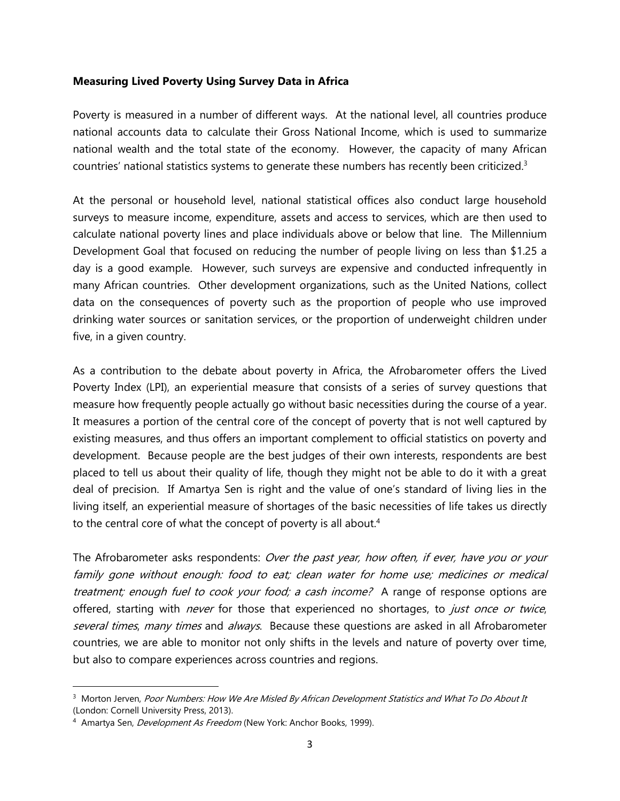## **Measuring Lived Poverty Using Survey Data in Africa**

Poverty is measured in a number of different ways. At the national level, all countries produce national accounts data to calculate their Gross National Income, which is used to summarize national wealth and the total state of the economy. However, the capacity of many African countries' national statistics systems to generate these numbers has recently been criticized.<sup>3</sup>

At the personal or household level, national statistical offices also conduct large household surveys to measure income, expenditure, assets and access to services, which are then used to calculate national poverty lines and place individuals above or below that line. The Millennium Development Goal that focused on reducing the number of people living on less than \$1.25 a day is a good example. However, such surveys are expensive and conducted infrequently in many African countries. Other development organizations, such as the United Nations, collect data on the consequences of poverty such as the proportion of people who use improved drinking water sources or sanitation services, or the proportion of underweight children under five, in a given country.

As a contribution to the debate about poverty in Africa, the Afrobarometer offers the Lived Poverty Index (LPI), an experiential measure that consists of a series of survey questions that measure how frequently people actually go without basic necessities during the course of a year. It measures a portion of the central core of the concept of poverty that is not well captured by existing measures, and thus offers an important complement to official statistics on poverty and development. Because people are the best judges of their own interests, respondents are best placed to tell us about their quality of life, though they might not be able to do it with a great deal of precision. If Amartya Sen is right and the value of one's standard of living lies in the living itself, an experiential measure of shortages of the basic necessities of life takes us directly to the central core of what the concept of poverty is all about.<sup>4</sup>

The Afrobarometer asks respondents: Over the past year, how often, if ever, have you or your family gone without enough: food to eat; clean water for home use; medicines or medical treatment; enough fuel to cook your food; a cash income? A range of response options are offered, starting with *never* for those that experienced no shortages, to *just once or twice*, several times, many times and always. Because these questions are asked in all Afrobarometer countries, we are able to monitor not only shifts in the levels and nature of poverty over time, but also to compare experiences across countries and regions.

<sup>&</sup>lt;sup>3</sup> Morton Jerven, Poor Numbers: How We Are Misled By African Development Statistics and What To Do About It (London: Cornell University Press, 2013).

<sup>&</sup>lt;sup>4</sup> Amartya Sen, *Development As Freedom* (New York: Anchor Books, 1999).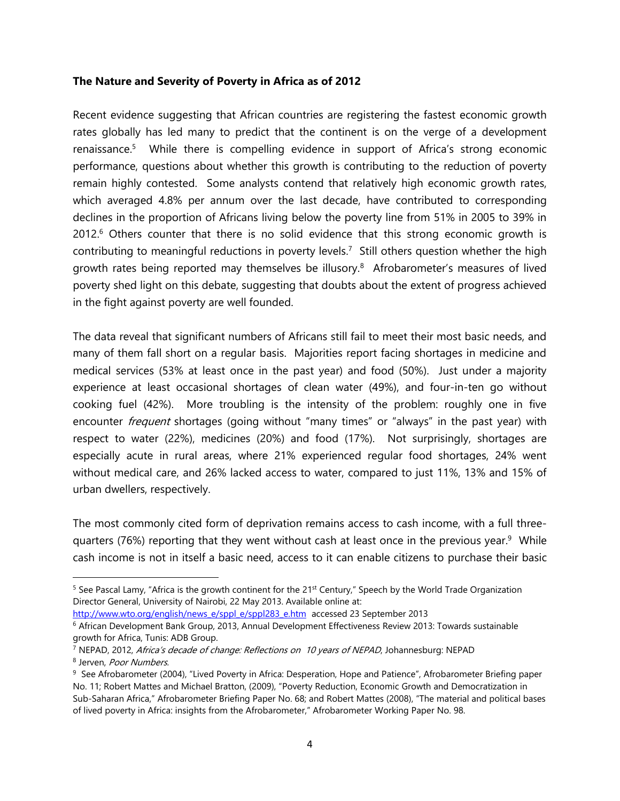## **The Nature and Severity of Poverty in Africa as of 2012**

Recent evidence suggesting that African countries are registering the fastest economic growth rates globally has led many to predict that the continent is on the verge of a development renaissance.<sup>5</sup> While there is compelling evidence in support of Africa's strong economic performance, questions about whether this growth is contributing to the reduction of poverty remain highly contested. Some analysts contend that relatively high economic growth rates, which averaged 4.8% per annum over the last decade, have contributed to corresponding declines in the proportion of Africans living below the poverty line from 51% in 2005 to 39% in 2012.<sup>6</sup> Others counter that there is no solid evidence that this strong economic growth is contributing to meaningful reductions in poverty levels.<sup>7</sup> Still others question whether the high growth rates being reported may themselves be illusory.<sup>8</sup> Afrobarometer's measures of lived poverty shed light on this debate, suggesting that doubts about the extent of progress achieved in the fight against poverty are well founded.

The data reveal that significant numbers of Africans still fail to meet their most basic needs, and many of them fall short on a regular basis. Majorities report facing shortages in medicine and medical services (53% at least once in the past year) and food (50%). Just under a majority experience at least occasional shortages of clean water (49%), and four-in-ten go without cooking fuel (42%). More troubling is the intensity of the problem: roughly one in five encounter *frequent* shortages (going without "many times" or "always" in the past year) with respect to water (22%), medicines (20%) and food (17%). Not surprisingly, shortages are especially acute in rural areas, where 21% experienced regular food shortages, 24% went without medical care, and 26% lacked access to water, compared to just 11%, 13% and 15% of urban dwellers, respectively.

The most commonly cited form of deprivation remains access to cash income, with a full threequarters (76%) reporting that they went without cash at least once in the previous year.<sup>9</sup> While cash income is not in itself a basic need, access to it can enable citizens to purchase their basic

[http://www.wto.org/english/news\\_e/sppl\\_e/sppl283\\_e.htm](http://www.wto.org/english/news_e/sppl_e/sppl283_e.htm) accessed 23 September 2013

 $\overline{a}$ 

<sup>&</sup>lt;sup>5</sup> See Pascal Lamy, "Africa is the growth continent for the  $21^{st}$  Century," Speech by the World Trade Organization Director General, University of Nairobi, 22 May 2013. Available online at:

<sup>6</sup> African Development Bank Group, 2013, Annual Development Effectiveness Review 2013: Towards sustainable growth for Africa, Tunis: ADB Group.

<sup>&</sup>lt;sup>7</sup> NEPAD, 2012, Africa's decade of change: Reflections on 10 years of NEPAD, Johannesburg: NEPAD <sup>8</sup> Jerven, Poor Numbers.

<sup>9</sup> See Afrobarometer (2004), "Lived Poverty in Africa: Desperation, Hope and Patience", Afrobarometer Briefing paper No. 11; Robert Mattes and Michael Bratton, (2009), "Poverty Reduction, Economic Growth and Democratization in Sub-Saharan Africa," Afrobarometer Briefing Paper No. 68; and Robert Mattes (2008), "The material and political bases of lived poverty in Africa: insights from the Afrobarometer," Afrobarometer Working Paper No. 98.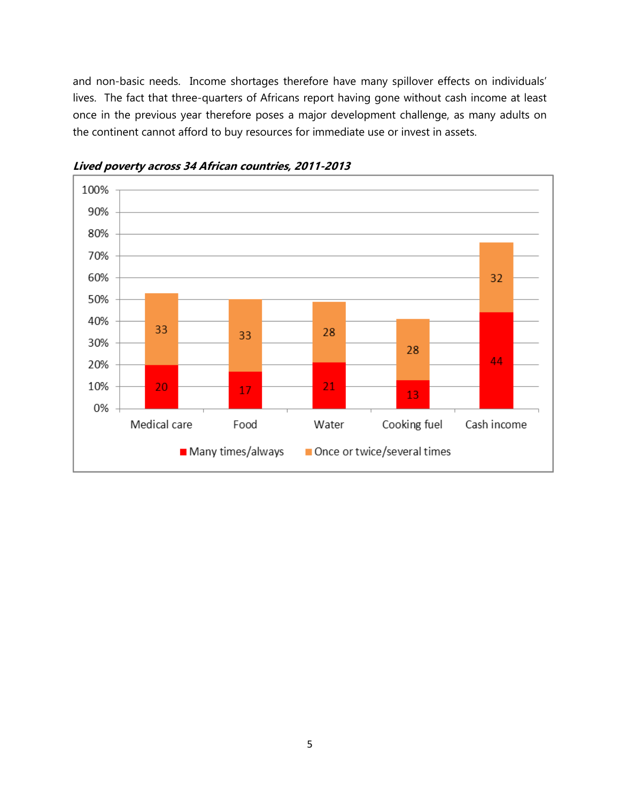and non-basic needs. Income shortages therefore have many spillover effects on individuals' lives. The fact that three-quarters of Africans report having gone without cash income at least once in the previous year therefore poses a major development challenge, as many adults on the continent cannot afford to buy resources for immediate use or invest in assets.



**Lived poverty across 34 African countries, 2011-2013**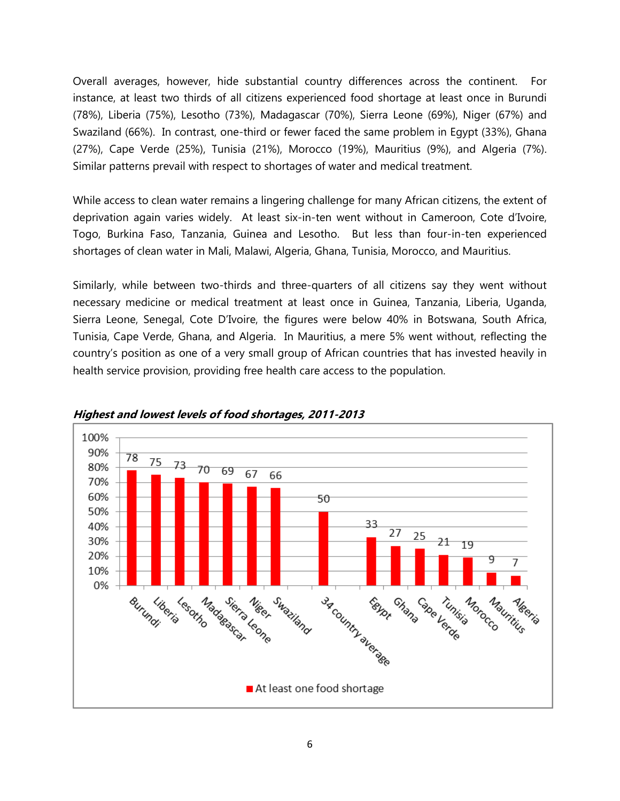Overall averages, however, hide substantial country differences across the continent. For instance, at least two thirds of all citizens experienced food shortage at least once in Burundi (78%), Liberia (75%), Lesotho (73%), Madagascar (70%), Sierra Leone (69%), Niger (67%) and Swaziland (66%). In contrast, one-third or fewer faced the same problem in Egypt (33%), Ghana (27%), Cape Verde (25%), Tunisia (21%), Morocco (19%), Mauritius (9%), and Algeria (7%). Similar patterns prevail with respect to shortages of water and medical treatment.

While access to clean water remains a lingering challenge for many African citizens, the extent of deprivation again varies widely. At least six-in-ten went without in Cameroon, Cote d'Ivoire, Togo, Burkina Faso, Tanzania, Guinea and Lesotho. But less than four-in-ten experienced shortages of clean water in Mali, Malawi, Algeria, Ghana, Tunisia, Morocco, and Mauritius.

Similarly, while between two-thirds and three-quarters of all citizens say they went without necessary medicine or medical treatment at least once in Guinea, Tanzania, Liberia, Uganda, Sierra Leone, Senegal, Cote D'Ivoire, the figures were below 40% in Botswana, South Africa, Tunisia, Cape Verde, Ghana, and Algeria. In Mauritius, a mere 5% went without, reflecting the country's position as one of a very small group of African countries that has invested heavily in health service provision, providing free health care access to the population.



## **Highest and lowest levels of food shortages, 2011-2013**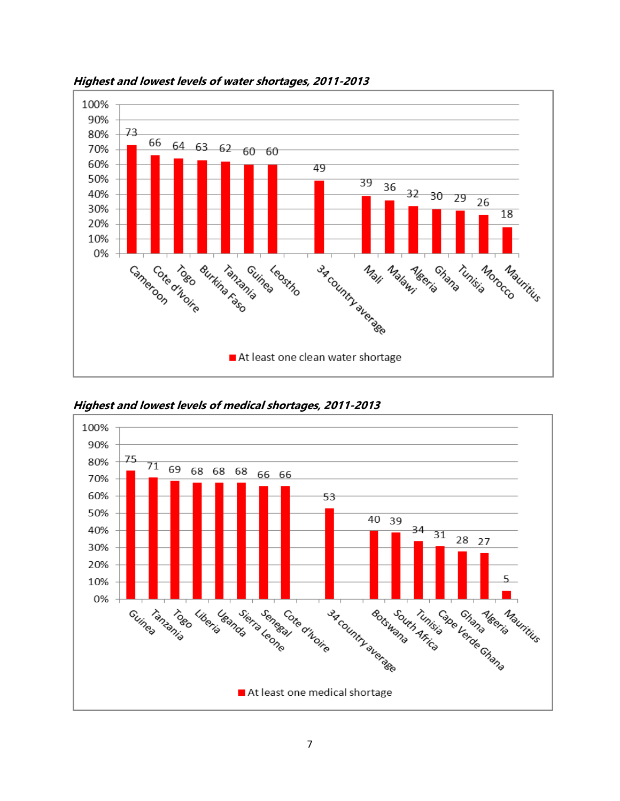

**Highest and lowest levels of water shortages, 2011-2013**



**Highest and lowest levels of medical shortages, 2011-2013**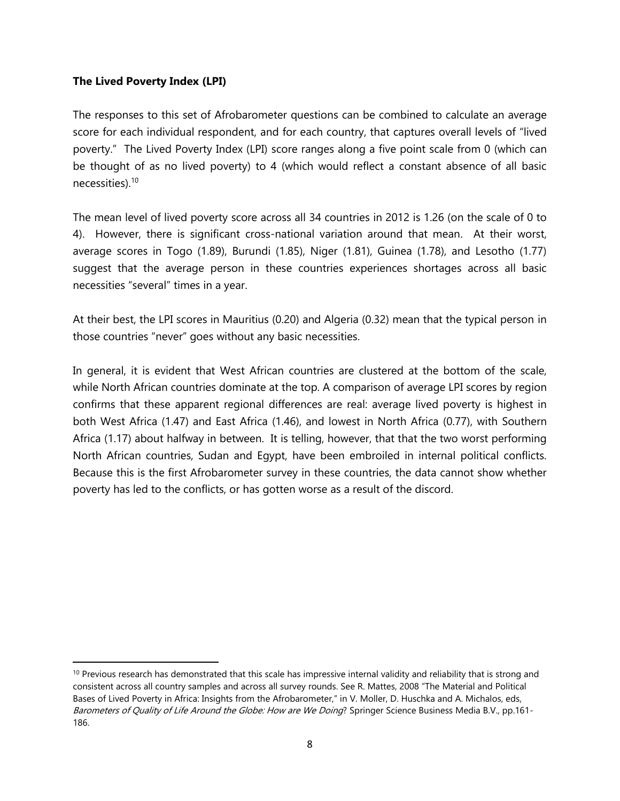## **The Lived Poverty Index (LPI)**

 $\overline{\phantom{a}}$ 

The responses to this set of Afrobarometer questions can be combined to calculate an average score for each individual respondent, and for each country, that captures overall levels of "lived poverty." The Lived Poverty Index (LPI) score ranges along a five point scale from 0 (which can be thought of as no lived poverty) to 4 (which would reflect a constant absence of all basic necessities).<sup>10</sup>

The mean level of lived poverty score across all 34 countries in 2012 is 1.26 (on the scale of 0 to 4). However, there is significant cross-national variation around that mean. At their worst, average scores in Togo (1.89), Burundi (1.85), Niger (1.81), Guinea (1.78), and Lesotho (1.77) suggest that the average person in these countries experiences shortages across all basic necessities "several" times in a year.

At their best, the LPI scores in Mauritius (0.20) and Algeria (0.32) mean that the typical person in those countries "never" goes without any basic necessities.

In general, it is evident that West African countries are clustered at the bottom of the scale, while North African countries dominate at the top. A comparison of average LPI scores by region confirms that these apparent regional differences are real: average lived poverty is highest in both West Africa (1.47) and East Africa (1.46), and lowest in North Africa (0.77), with Southern Africa (1.17) about halfway in between. It is telling, however, that that the two worst performing North African countries, Sudan and Egypt, have been embroiled in internal political conflicts. Because this is the first Afrobarometer survey in these countries, the data cannot show whether poverty has led to the conflicts, or has gotten worse as a result of the discord.

 $10$  Previous research has demonstrated that this scale has impressive internal validity and reliability that is strong and consistent across all country samples and across all survey rounds. See R. Mattes, 2008 "The Material and Political Bases of Lived Poverty in Africa: Insights from the Afrobarometer," in V. Moller, D. Huschka and A. Michalos, eds, Barometers of Quality of Life Around the Globe: How are We Doing? Springer Science Business Media B.V., pp.161-186.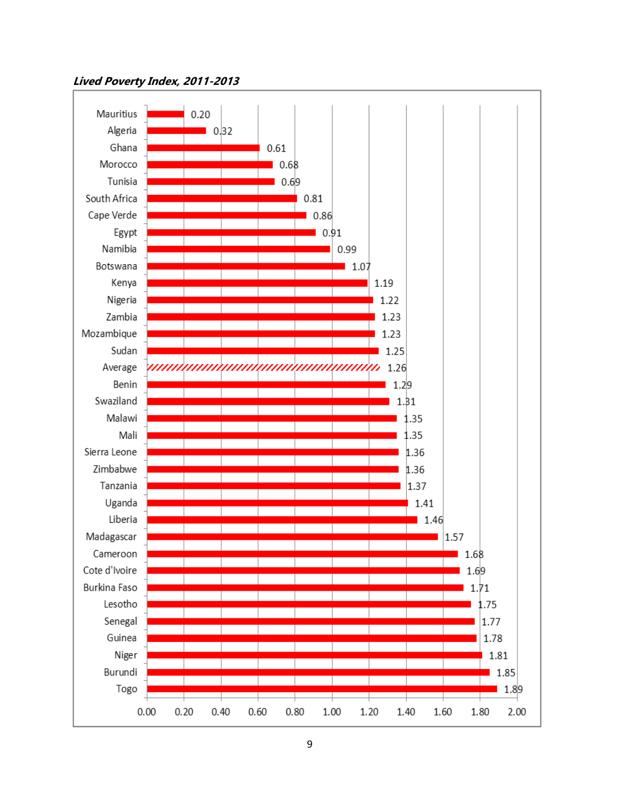## **Lived Poverty Index, 2011-2013**

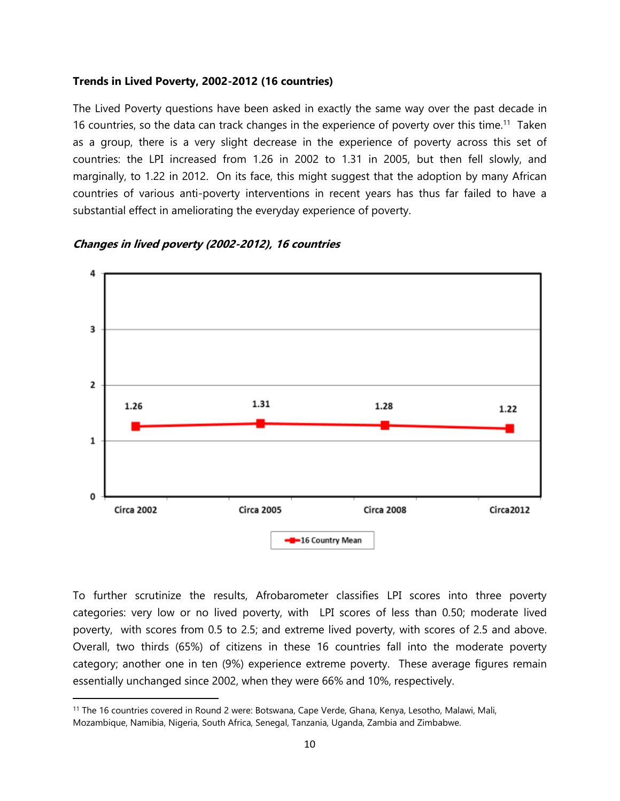#### **Trends in Lived Poverty, 2002-2012 (16 countries)**

The Lived Poverty questions have been asked in exactly the same way over the past decade in 16 countries, so the data can track changes in the experience of poverty over this time.<sup>11</sup> Taken as a group, there is a very slight decrease in the experience of poverty across this set of countries: the LPI increased from 1.26 in 2002 to 1.31 in 2005, but then fell slowly, and marginally, to 1.22 in 2012. On its face, this might suggest that the adoption by many African countries of various anti-poverty interventions in recent years has thus far failed to have a substantial effect in ameliorating the everyday experience of poverty.



## **Changes in lived poverty (2002-2012), 16 countries**

To further scrutinize the results, Afrobarometer classifies LPI scores into three poverty categories: very low or no lived poverty, with LPI scores of less than 0.50; moderate lived poverty, with scores from 0.5 to 2.5; and extreme lived poverty, with scores of 2.5 and above. Overall, two thirds (65%) of citizens in these 16 countries fall into the moderate poverty category; another one in ten (9%) experience extreme poverty. These average figures remain essentially unchanged since 2002, when they were 66% and 10%, respectively.

<sup>11</sup> The 16 countries covered in Round 2 were: Botswana, Cape Verde, Ghana, Kenya, Lesotho, Malawi, Mali, Mozambique, Namibia, Nigeria, South Africa, Senegal, Tanzania, Uganda, Zambia and Zimbabwe.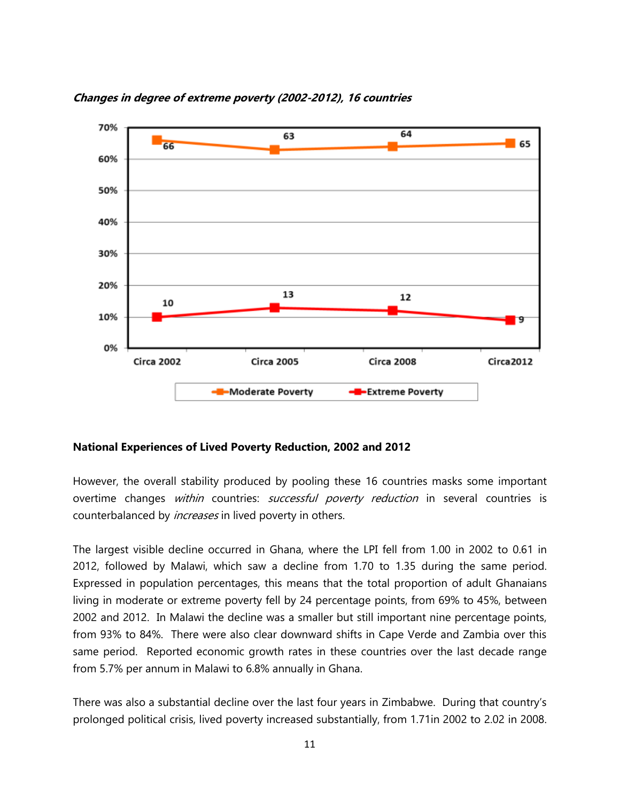

## **Changes in degree of extreme poverty (2002-2012), 16 countries**

#### **National Experiences of Lived Poverty Reduction, 2002 and 2012**

However, the overall stability produced by pooling these 16 countries masks some important overtime changes within countries: *successful poverty reduction* in several countries is counterbalanced by *increases* in lived poverty in others.

The largest visible decline occurred in Ghana, where the LPI fell from 1.00 in 2002 to 0.61 in 2012, followed by Malawi, which saw a decline from 1.70 to 1.35 during the same period. Expressed in population percentages, this means that the total proportion of adult Ghanaians living in moderate or extreme poverty fell by 24 percentage points, from 69% to 45%, between 2002 and 2012. In Malawi the decline was a smaller but still important nine percentage points, from 93% to 84%. There were also clear downward shifts in Cape Verde and Zambia over this same period. Reported economic growth rates in these countries over the last decade range from 5.7% per annum in Malawi to 6.8% annually in Ghana.

There was also a substantial decline over the last four years in Zimbabwe. During that country's prolonged political crisis, lived poverty increased substantially, from 1.71in 2002 to 2.02 in 2008.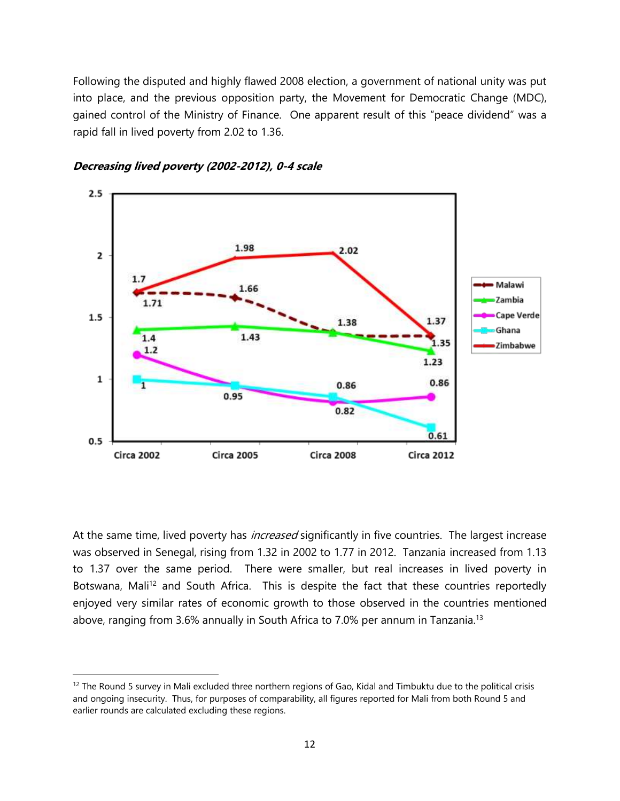Following the disputed and highly flawed 2008 election, a government of national unity was put into place, and the previous opposition party, the Movement for Democratic Change (MDC), gained control of the Ministry of Finance. One apparent result of this "peace dividend" was a rapid fall in lived poverty from 2.02 to 1.36.



**Decreasing lived poverty (2002-2012), 0-4 scale**

 $\overline{\phantom{a}}$ 

At the same time, lived poverty has *increased* significantly in five countries. The largest increase was observed in Senegal, rising from 1.32 in 2002 to 1.77 in 2012. Tanzania increased from 1.13 to 1.37 over the same period. There were smaller, but real increases in lived poverty in Botswana, Mali<sup>12</sup> and South Africa. This is despite the fact that these countries reportedly enjoyed very similar rates of economic growth to those observed in the countries mentioned above, ranging from 3.6% annually in South Africa to 7.0% per annum in Tanzania.<sup>13</sup>

 $12$  The Round 5 survey in Mali excluded three northern regions of Gao. Kidal and Timbuktu due to the political crisis and ongoing insecurity. Thus, for purposes of comparability, all figures reported for Mali from both Round 5 and earlier rounds are calculated excluding these regions.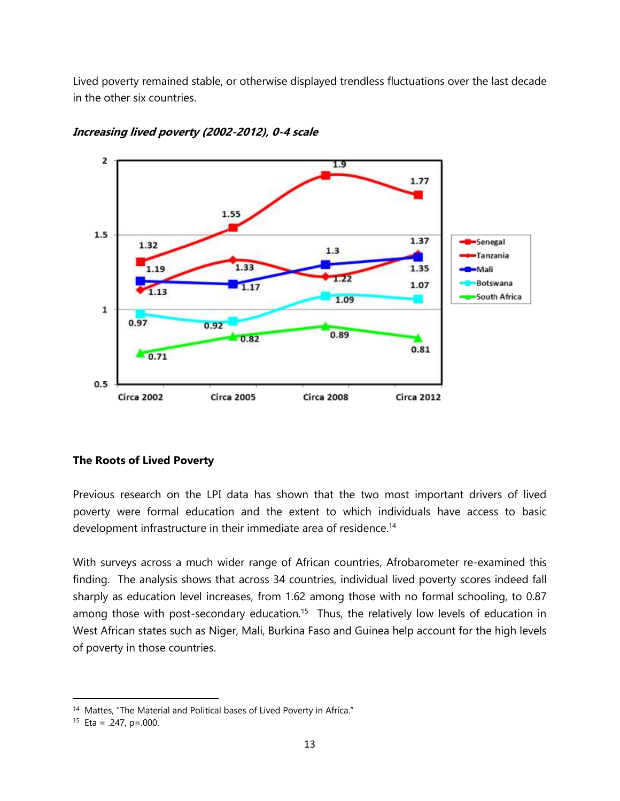Lived poverty remained stable, or otherwise displayed trendless fluctuations over the last decade in the other six countries.



## **Increasing lived poverty (2002-2012), 0-4 scale**

## **The Roots of Lived Poverty**

Previous research on the LPI data has shown that the two most important drivers of lived poverty were formal education and the extent to which individuals have access to basic development infrastructure in their immediate area of residence.<sup>14</sup>

With surveys across a much wider range of African countries, Afrobarometer re-examined this finding. The analysis shows that across 34 countries, individual lived poverty scores indeed fall sharply as education level increases, from 1.62 among those with no formal schooling, to 0.87 among those with post-secondary education.<sup>15</sup> Thus, the relatively low levels of education in West African states such as Niger, Mali, Burkina Faso and Guinea help account for the high levels of poverty in those countries.

<sup>&</sup>lt;sup>14</sup> Mattes, "The Material and Political bases of Lived Poverty in Africa."

<sup>&</sup>lt;sup>15</sup> Eta = .247, p=.000.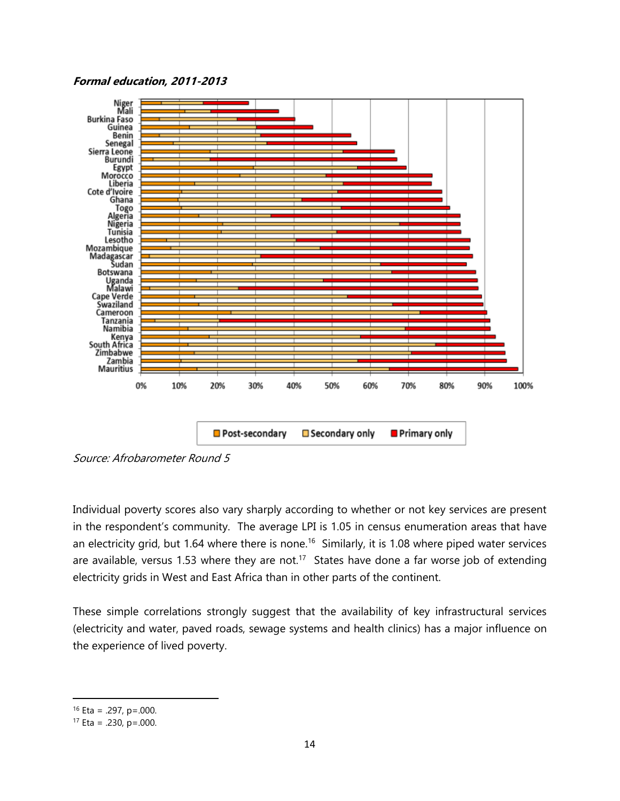## **Formal education, 2011-2013**



Source: Afrobarometer Round 5

Individual poverty scores also vary sharply according to whether or not key services are present in the respondent's community. The average LPI is 1.05 in census enumeration areas that have an electricity grid, but 1.64 where there is none.<sup>16</sup> Similarly, it is 1.08 where piped water services are available, versus 1.53 where they are not.<sup>17</sup> States have done a far worse job of extending electricity grids in West and East Africa than in other parts of the continent.

These simple correlations strongly suggest that the availability of key infrastructural services (electricity and water, paved roads, sewage systems and health clinics) has a major influence on the experience of lived poverty.

 $16$  Eta = .297, p=.000.

 $17$  Eta = .230, p=.000.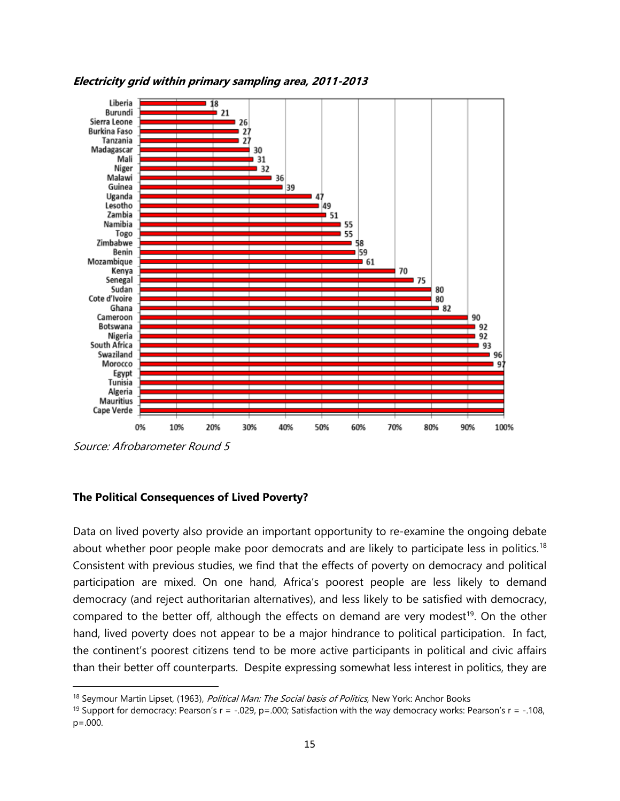

**Electricity grid within primary sampling area, 2011-2013**

Source: Afrobarometer Round 5

 $\overline{\phantom{a}}$ 

## **The Political Consequences of Lived Poverty?**

Data on lived poverty also provide an important opportunity to re-examine the ongoing debate about whether poor people make poor democrats and are likely to participate less in politics.<sup>18</sup> Consistent with previous studies, we find that the effects of poverty on democracy and political participation are mixed. On one hand, Africa's poorest people are less likely to demand democracy (and reject authoritarian alternatives), and less likely to be satisfied with democracy, compared to the better off, although the effects on demand are very modest<sup>19</sup>. On the other hand, lived poverty does not appear to be a major hindrance to political participation. In fact, the continent's poorest citizens tend to be more active participants in political and civic affairs than their better off counterparts. Despite expressing somewhat less interest in politics, they are

<sup>&</sup>lt;sup>18</sup> Seymour Martin Lipset, (1963), *Political Man: The Social basis of Politics*, New York: Anchor Books

<sup>&</sup>lt;sup>19</sup> Support for democracy: Pearson's  $r = -0.029$ ,  $p = 0.000$ ; Satisfaction with the way democracy works: Pearson's  $r = -0.108$ , p=.000.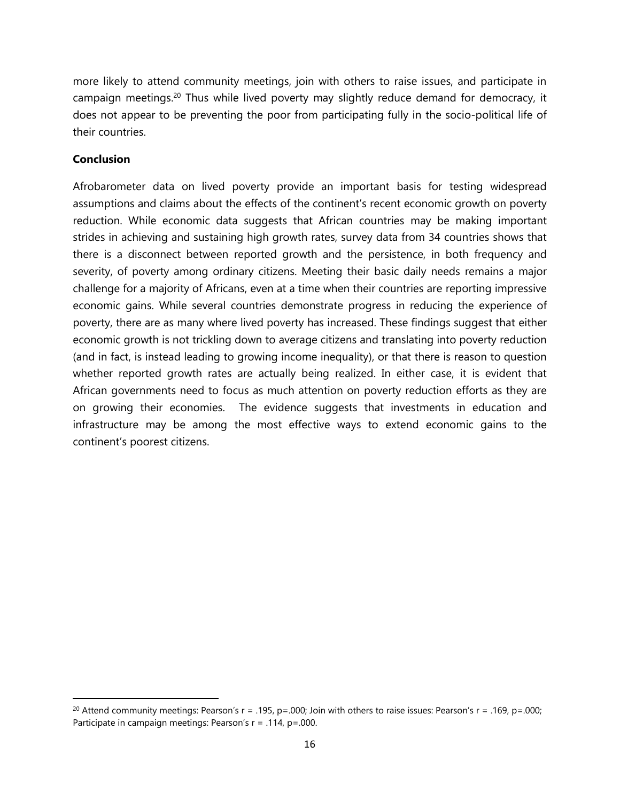more likely to attend community meetings, join with others to raise issues, and participate in campaign meetings.<sup>20</sup> Thus while lived poverty may slightly reduce demand for democracy, it does not appear to be preventing the poor from participating fully in the socio-political life of their countries.

## **Conclusion**

 $\overline{\phantom{a}}$ 

Afrobarometer data on lived poverty provide an important basis for testing widespread assumptions and claims about the effects of the continent's recent economic growth on poverty reduction. While economic data suggests that African countries may be making important strides in achieving and sustaining high growth rates, survey data from 34 countries shows that there is a disconnect between reported growth and the persistence, in both frequency and severity, of poverty among ordinary citizens. Meeting their basic daily needs remains a major challenge for a majority of Africans, even at a time when their countries are reporting impressive economic gains. While several countries demonstrate progress in reducing the experience of poverty, there are as many where lived poverty has increased. These findings suggest that either economic growth is not trickling down to average citizens and translating into poverty reduction (and in fact, is instead leading to growing income inequality), or that there is reason to question whether reported growth rates are actually being realized. In either case, it is evident that African governments need to focus as much attention on poverty reduction efforts as they are on growing their economies. The evidence suggests that investments in education and infrastructure may be among the most effective ways to extend economic gains to the continent's poorest citizens.

<sup>&</sup>lt;sup>20</sup> Attend community meetings: Pearson's  $r = .195$ ,  $p = .000$ ; Join with others to raise issues: Pearson's  $r = .169$ ,  $p = .000$ ; Participate in campaign meetings: Pearson's r = .114, p=.000.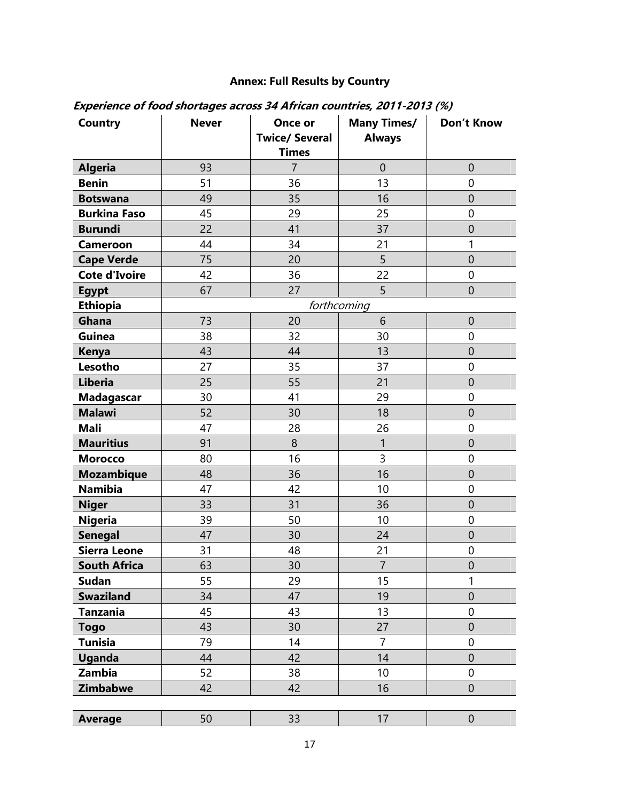## **Annex: Full Results by Country**

| Country              | <b>Never</b> | Once or<br><b>Twice/ Several</b><br><b>Times</b> | <b>Many Times/</b><br><b>Always</b> | <b>Don't Know</b> |
|----------------------|--------------|--------------------------------------------------|-------------------------------------|-------------------|
| <b>Algeria</b>       | 93           | $\overline{7}$                                   | $\mathbf{0}$                        | $\mathbf 0$       |
| <b>Benin</b>         | 51           | 36                                               | 13                                  | 0                 |
| <b>Botswana</b>      | 49           | 35                                               | 16                                  | $\mathbf{0}$      |
| <b>Burkina Faso</b>  | 45           | 29                                               | 25                                  | $\mathbf 0$       |
| <b>Burundi</b>       | 22           | 41                                               | 37                                  | $\overline{0}$    |
| <b>Cameroon</b>      | 44           | 34                                               | 21                                  | 1                 |
| <b>Cape Verde</b>    | 75           | 20                                               | 5                                   | $\overline{0}$    |
| <b>Cote d'Ivoire</b> | 42           | 36                                               | 22                                  | $\mathbf 0$       |
| <b>Egypt</b>         | 67           | 27                                               | 5                                   | $\overline{0}$    |
| <b>Ethiopia</b>      |              |                                                  | forthcoming                         |                   |
| Ghana                | 73           | 20                                               | 6                                   | $\mathbf 0$       |
| Guinea               | 38           | 32                                               | 30                                  | $\mathbf 0$       |
| <b>Kenya</b>         | 43           | 44                                               | 13                                  | $\overline{0}$    |
| Lesotho              | 27           | 35                                               | 37                                  | $\mathbf 0$       |
| <b>Liberia</b>       | 25           | 55                                               | 21                                  | $\mathbf 0$       |
| <b>Madagascar</b>    | 30           | 41                                               | 29                                  | 0                 |
| <b>Malawi</b>        | 52           | 30                                               | 18                                  | $\overline{0}$    |
| <b>Mali</b>          | 47           | 28                                               | 26                                  | $\mathbf 0$       |
| <b>Mauritius</b>     | 91           | 8                                                | $\mathbf{1}$                        | $\overline{0}$    |
| <b>Morocco</b>       | 80           | 16                                               | 3                                   | $\mathbf 0$       |
| <b>Mozambique</b>    | 48           | 36                                               | 16                                  | $\mathbf 0$       |
| <b>Namibia</b>       | 47           | 42                                               | 10                                  | $\mathbf 0$       |
| <b>Niger</b>         | 33           | 31                                               | 36                                  | $\mathbf 0$       |
| <b>Nigeria</b>       | 39           | 50                                               | 10                                  | $\mathbf 0$       |
| <b>Senegal</b>       | 47           | 30                                               | 24                                  | $\mathbf 0$       |
| <b>Sierra Leone</b>  | 31           | 48                                               | 21                                  | $\mathbf 0$       |
| <b>South Africa</b>  | 63           | 30                                               | $\overline{7}$                      | $\overline{0}$    |
| <b>Sudan</b>         | 55           | 29                                               | 15                                  | $\mathbf{1}$      |
| <b>Swaziland</b>     | 34           | 47                                               | 19                                  | $\overline{0}$    |
| <b>Tanzania</b>      | 45           | 43                                               | 13                                  | $\boldsymbol{0}$  |
| <b>Togo</b>          | 43           | 30                                               | 27                                  | $\theta$          |
| <b>Tunisia</b>       | 79           | 14                                               | $\overline{7}$                      | $\mathbf 0$       |
| <b>Uganda</b>        | 44           | 42                                               | 14                                  | $\theta$          |
| <b>Zambia</b>        | 52           | 38                                               | 10                                  | $\mathbf 0$       |
| <b>Zimbabwe</b>      | 42           | 42                                               | 16                                  | $\mathbf 0$       |
|                      |              |                                                  |                                     |                   |
| <b>Average</b>       | 50           | 33                                               | 17                                  | $\boldsymbol{0}$  |

## **Experience of food shortages across 34 African countries, 2011-2013 (%)**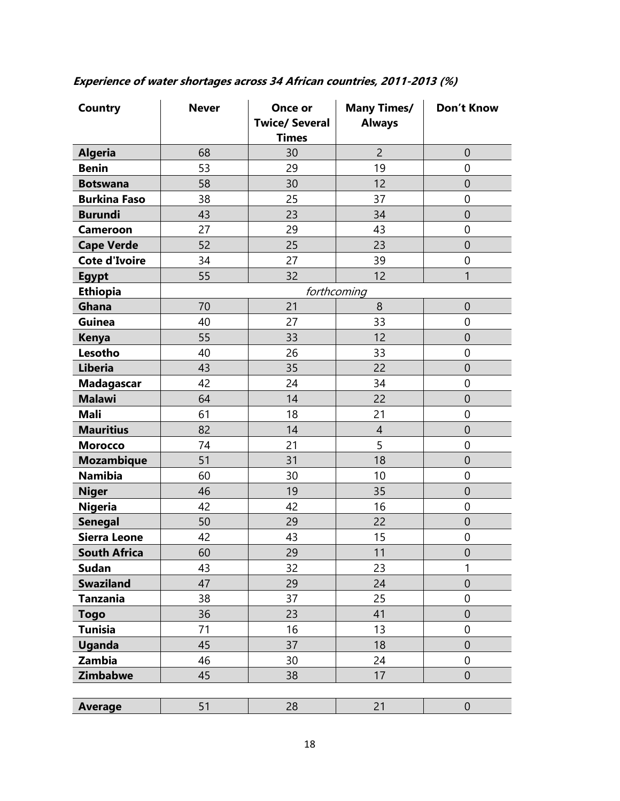| Country              | <b>Never</b> | Once or<br><b>Twice/ Several</b><br><b>Times</b> | <b>Many Times/</b><br><b>Always</b> | <b>Don't Know</b> |
|----------------------|--------------|--------------------------------------------------|-------------------------------------|-------------------|
| <b>Algeria</b>       | 68           | 30                                               | $\overline{2}$                      | $\overline{0}$    |
| <b>Benin</b>         | 53           | 29                                               | 19                                  | $\mathbf 0$       |
| <b>Botswana</b>      | 58           | 30                                               | 12                                  | $\theta$          |
| <b>Burkina Faso</b>  | 38           | 25                                               | 37                                  | $\mathbf 0$       |
| <b>Burundi</b>       | 43           | 23                                               | 34                                  | $\overline{0}$    |
| <b>Cameroon</b>      | 27           | 29                                               | 43                                  | $\mathbf 0$       |
| <b>Cape Verde</b>    | 52           | 25                                               | 23                                  | $\overline{0}$    |
| <b>Cote d'Ivoire</b> | 34           | 27                                               | 39                                  | $\overline{0}$    |
| <b>Egypt</b>         | 55           | 32                                               | 12                                  | $\mathbf{1}$      |
| <b>Ethiopia</b>      |              |                                                  | forthcoming                         |                   |
| Ghana                | 70           | 21                                               | 8                                   | $\mathbf{0}$      |
| Guinea               | 40           | 27                                               | 33                                  | $\mathbf 0$       |
| <b>Kenya</b>         | 55           | 33                                               | 12                                  | $\mathbf 0$       |
| Lesotho              | 40           | 26                                               | 33                                  | $\mathbf 0$       |
| Liberia              | 43           | 35                                               | 22                                  | $\mathbf 0$       |
| <b>Madagascar</b>    | 42           | 24                                               | 34                                  | $\overline{0}$    |
| <b>Malawi</b>        | 64           | 14                                               | 22                                  | $\theta$          |
| <b>Mali</b>          | 61           | 18                                               | 21                                  | $\mathbf 0$       |
| <b>Mauritius</b>     | 82           | 14                                               | $\overline{4}$                      | $\mathbf 0$       |
| <b>Morocco</b>       | 74           | 21                                               | 5                                   | $\overline{0}$    |
| <b>Mozambique</b>    | 51           | 31                                               | 18                                  | $\theta$          |
| <b>Namibia</b>       | 60           | 30                                               | 10                                  | $\overline{0}$    |
| <b>Niger</b>         | 46           | 19                                               | 35                                  | $\theta$          |
| <b>Nigeria</b>       | 42           | 42                                               | 16                                  | $\overline{0}$    |
| <b>Senegal</b>       | 50           | 29                                               | 22                                  | $\theta$          |
| <b>Sierra Leone</b>  | 42           | 43                                               | 15                                  | $\mathbf 0$       |
| <b>South Africa</b>  | 60           | 29                                               | 11                                  | $\mathbf 0$       |
| <b>Sudan</b>         | 43           | 32                                               | 23                                  | 1                 |
| <b>Swaziland</b>     | 47           | 29                                               | 24                                  | $\mathbf{0}$      |
| <b>Tanzania</b>      | 38           | 37                                               | 25                                  | $\mathbf 0$       |
| <b>Togo</b>          | 36           | 23                                               | 41                                  | $\overline{0}$    |
| <b>Tunisia</b>       | 71           | 16                                               | 13                                  | 0                 |
| <b>Uganda</b>        | 45           | 37                                               | 18                                  | $\overline{0}$    |
| Zambia               | 46           | 30                                               | 24                                  | 0                 |
| <b>Zimbabwe</b>      | 45           | 38                                               | 17                                  | $\overline{0}$    |
|                      |              |                                                  |                                     |                   |
| <b>Average</b>       | 51           | 28                                               | 21                                  | $\mathbf 0$       |

## **Experience of water shortages across 34 African countries, 2011-2013 (%)**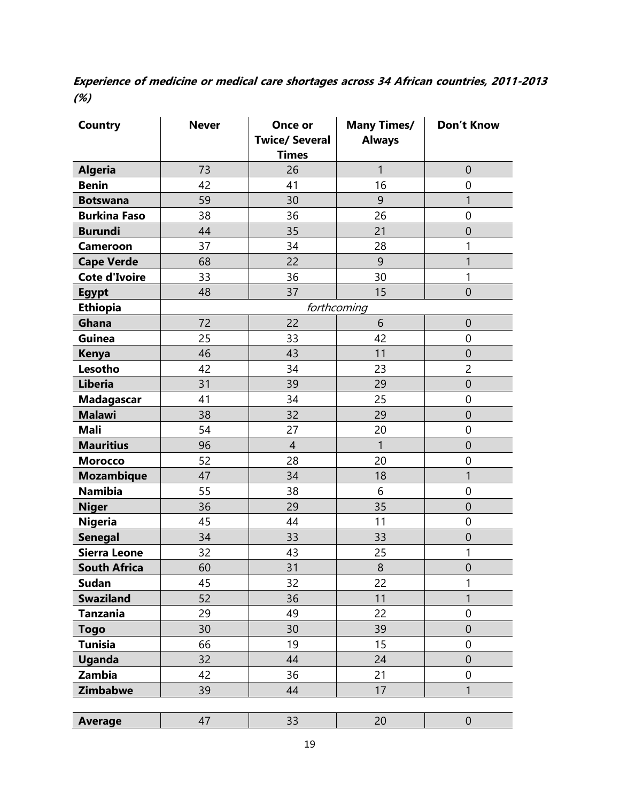**Experience of medicine or medical care shortages across 34 African countries, 2011-2013 (%)**

| <b>Country</b>       | <b>Never</b> | Once or<br><b>Twice/ Several</b><br><b>Times</b> | <b>Many Times/</b><br><b>Always</b> | <b>Don't Know</b> |
|----------------------|--------------|--------------------------------------------------|-------------------------------------|-------------------|
| <b>Algeria</b>       | 73           | 26                                               | 1                                   | $\mathbf 0$       |
| <b>Benin</b>         | 42           | 41                                               | 16                                  | $\mathbf 0$       |
| <b>Botswana</b>      | 59           | 30                                               | 9                                   | $\mathbf{1}$      |
| <b>Burkina Faso</b>  | 38           | 36                                               | 26                                  | $\mathbf 0$       |
| <b>Burundi</b>       | 44           | 35                                               | 21                                  | $\mathbf 0$       |
| <b>Cameroon</b>      | 37           | 34                                               | 28                                  | 1                 |
| <b>Cape Verde</b>    | 68           | 22                                               | 9                                   | 1                 |
| <b>Cote d'Ivoire</b> | 33           | 36                                               | 30                                  | 1                 |
| <b>Egypt</b>         | 48           | 37                                               | 15                                  | $\mathbf 0$       |
| <b>Ethiopia</b>      |              |                                                  | forthcoming                         |                   |
| Ghana                | 72           | 22                                               | 6                                   | $\mathbf 0$       |
| Guinea               | 25           | 33                                               | 42                                  | $\mathbf 0$       |
| <b>Kenya</b>         | 46           | 43                                               | 11                                  | $\theta$          |
| Lesotho              | 42           | 34                                               | 23                                  | $\overline{2}$    |
| <b>Liberia</b>       | 31           | 39                                               | 29                                  | $\theta$          |
| <b>Madagascar</b>    | 41           | 34                                               | 25                                  | $\mathbf 0$       |
| <b>Malawi</b>        | 38           | 32                                               | 29                                  | $\mathbf 0$       |
| <b>Mali</b>          | 54           | 27                                               | 20                                  | $\mathbf 0$       |
| <b>Mauritius</b>     | 96           | $\overline{4}$                                   | 1                                   | $\mathbf{0}$      |
| <b>Morocco</b>       | 52           | 28                                               | 20                                  | $\mathbf 0$       |
| <b>Mozambique</b>    | 47           | 34                                               | 18                                  | 1                 |
| <b>Namibia</b>       | 55           | 38                                               | 6                                   | $\mathbf 0$       |
| <b>Niger</b>         | 36           | 29                                               | 35                                  | $\theta$          |
| <b>Nigeria</b>       | 45           | 44                                               | 11                                  | $\mathbf 0$       |
| <b>Senegal</b>       | 34           | 33                                               | 33                                  | $\theta$          |
| <b>Sierra Leone</b>  | 32           | 43                                               | 25                                  | 1                 |
| <b>South Africa</b>  | 60           | 31                                               | 8                                   | $\mathbf 0$       |
| <b>Sudan</b>         | 45           | 32                                               | 22                                  | 1                 |
| <b>Swaziland</b>     | 52           | 36                                               | 11                                  | $\mathbf{1}$      |
| Tanzania             | 29           | 49                                               | 22                                  | $\mathbf 0$       |
| <b>Togo</b>          | 30           | 30                                               | 39                                  | $\mathbf 0$       |
| <b>Tunisia</b>       | 66           | 19                                               | 15                                  | $\mathbf 0$       |
| <b>Uganda</b>        | 32           | 44                                               | 24                                  | $\overline{0}$    |
| Zambia               | 42           | 36                                               | 21                                  | $\boldsymbol{0}$  |
| <b>Zimbabwe</b>      | 39           | 44                                               | 17                                  | 1                 |
|                      |              |                                                  |                                     |                   |
| <b>Average</b>       | 47           | 33                                               | 20                                  | $\mathbf 0$       |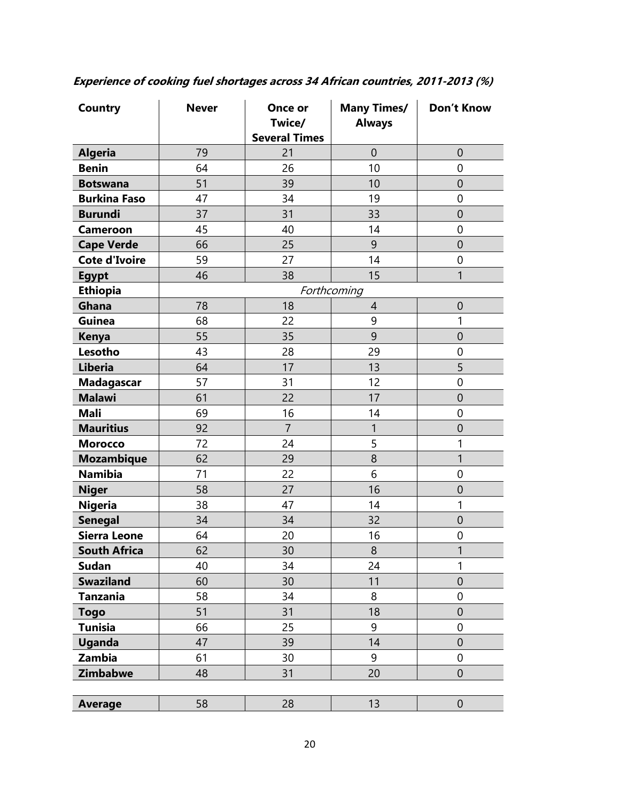| Country              | <b>Never</b> | Once or<br>Twice/<br><b>Several Times</b> | <b>Many Times/</b><br><b>Always</b> | <b>Don't Know</b> |
|----------------------|--------------|-------------------------------------------|-------------------------------------|-------------------|
| <b>Algeria</b>       | 79           | 21                                        | $\mathbf 0$                         | $\theta$          |
| <b>Benin</b>         | 64           | 26                                        | 10                                  | $\mathbf 0$       |
| <b>Botswana</b>      | 51           | 39                                        | 10                                  | $\mathbf 0$       |
| <b>Burkina Faso</b>  | 47           | 34                                        | 19                                  | $\boldsymbol{0}$  |
| <b>Burundi</b>       | 37           | 31                                        | 33                                  | $\overline{0}$    |
| <b>Cameroon</b>      | 45           | 40                                        | 14                                  | $\boldsymbol{0}$  |
| <b>Cape Verde</b>    | 66           | 25                                        | 9                                   | $\overline{0}$    |
| <b>Cote d'Ivoire</b> | 59           | 27                                        | 14                                  | $\mathbf 0$       |
| <b>Egypt</b>         | 46           | 38                                        | 15                                  | 1                 |
| <b>Ethiopia</b>      |              |                                           | Forthcoming                         |                   |
| Ghana                | 78           | 18                                        | $\overline{4}$                      | $\mathbf 0$       |
| Guinea               | 68           | 22                                        | 9                                   | 1                 |
| <b>Kenya</b>         | 55           | 35                                        | 9                                   | $\mathbf 0$       |
| Lesotho              | 43           | 28                                        | 29                                  | $\mathbf 0$       |
| <b>Liberia</b>       | 64           | 17                                        | 13                                  | 5                 |
| <b>Madagascar</b>    | 57           | 31                                        | 12                                  | $\mathbf 0$       |
| <b>Malawi</b>        | 61           | 22                                        | 17                                  | $\overline{0}$    |
| <b>Mali</b>          | 69           | 16                                        | 14                                  | $\mathbf 0$       |
| <b>Mauritius</b>     | 92           | $\overline{7}$                            | 1                                   | $\mathbf 0$       |
| <b>Morocco</b>       | 72           | 24                                        | 5                                   | 1                 |
| <b>Mozambique</b>    | 62           | 29                                        | 8                                   | 1                 |
| <b>Namibia</b>       | 71           | 22                                        | 6                                   | $\mathbf 0$       |
| <b>Niger</b>         | 58           | 27                                        | 16                                  | $\overline{0}$    |
| <b>Nigeria</b>       | 38           | 47                                        | 14                                  | 1                 |
| <b>Senegal</b>       | 34           | 34                                        | 32                                  | $\mathbf 0$       |
| <b>Sierra Leone</b>  | 64           | 20                                        | 16                                  | $\mathbf 0$       |
| <b>South Africa</b>  | 62           | 30                                        | $\,8\,$                             | 1                 |
| <b>Sudan</b>         | 40           | 34                                        | 24                                  | $\mathbf{1}$      |
| <b>Swaziland</b>     | 60           | 30                                        | 11                                  | $\overline{0}$    |
| <b>Tanzania</b>      | 58           | 34                                        | 8                                   | $\mathbf 0$       |
| <b>Togo</b>          | 51           | 31                                        | 18                                  | $\theta$          |
| <b>Tunisia</b>       | 66           | 25                                        | 9                                   | 0                 |
| <b>Uganda</b>        | 47           | 39                                        | 14                                  | $\mathbf 0$       |
| Zambia               | 61           | 30                                        | 9                                   | $\mathbf 0$       |
| <b>Zimbabwe</b>      | 48           | 31                                        | 20                                  | $\mathbf 0$       |
|                      |              |                                           |                                     |                   |
| <b>Average</b>       | 58           | 28                                        | 13                                  | $\theta$          |

**Experience of cooking fuel shortages across 34 African countries, 2011-2013 (%)**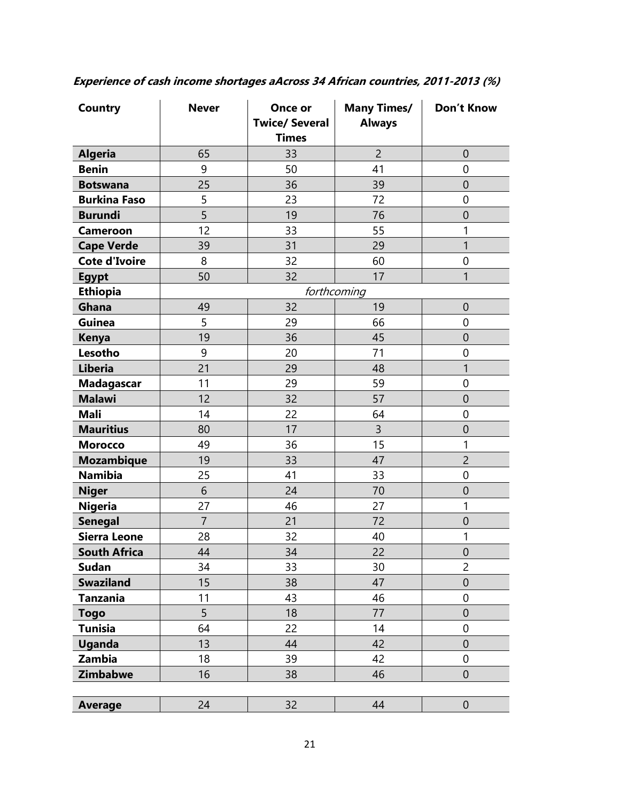| Country              | <b>Never</b>   | Once or<br><b>Twice/ Several</b><br><b>Times</b> | <b>Many Times/</b><br><b>Always</b> | <b>Don't Know</b> |
|----------------------|----------------|--------------------------------------------------|-------------------------------------|-------------------|
| <b>Algeria</b>       | 65             | 33                                               | $\overline{2}$                      | $\overline{0}$    |
| <b>Benin</b>         | 9              | 50                                               | 41                                  | $\mathbf 0$       |
| <b>Botswana</b>      | 25             | 36                                               | 39                                  | $\overline{0}$    |
| <b>Burkina Faso</b>  | 5              | 23                                               | 72                                  | $\mathbf 0$       |
| <b>Burundi</b>       | 5              | 19                                               | 76                                  | $\mathbf 0$       |
| <b>Cameroon</b>      | 12             | 33                                               | 55                                  | 1                 |
| <b>Cape Verde</b>    | 39             | 31                                               | 29                                  | 1                 |
| <b>Cote d'Ivoire</b> | 8              | 32                                               | 60                                  | $\mathbf 0$       |
| <b>Egypt</b>         | 50             | 32                                               | 17                                  | 1                 |
| <b>Ethiopia</b>      |                |                                                  | forthcoming                         |                   |
| Ghana                | 49             | 32                                               | 19                                  | $\mathbf{0}$      |
| <b>Guinea</b>        | 5              | 29                                               | 66                                  | $\mathbf 0$       |
| <b>Kenya</b>         | 19             | 36                                               | 45                                  | $\overline{0}$    |
| Lesotho              | 9              | 20                                               | 71                                  | $\mathbf 0$       |
| <b>Liberia</b>       | 21             | 29                                               | 48                                  | $\mathbf{1}$      |
| <b>Madagascar</b>    | 11             | 29                                               | 59                                  | $\mathbf 0$       |
| <b>Malawi</b>        | 12             | 32                                               | 57                                  | $\mathbf{0}$      |
| <b>Mali</b>          | 14             | 22                                               | 64                                  | $\mathbf 0$       |
| <b>Mauritius</b>     | 80             | 17                                               | 3                                   | $\mathbf 0$       |
| <b>Morocco</b>       | 49             | 36                                               | 15                                  | 1                 |
| <b>Mozambique</b>    | 19             | 33                                               | 47                                  | $\overline{2}$    |
| <b>Namibia</b>       | 25             | 41                                               | 33                                  | $\mathbf 0$       |
| <b>Niger</b>         | 6              | 24                                               | 70                                  | $\mathbf 0$       |
| <b>Nigeria</b>       | 27             | 46                                               | 27                                  | 1                 |
| <b>Senegal</b>       | $\overline{7}$ | 21                                               | 72                                  | $\mathbf 0$       |
| <b>Sierra Leone</b>  | 28             | 32                                               | 40                                  | 1                 |
| <b>South Africa</b>  | 44             | 34                                               | 22                                  | $\boldsymbol{0}$  |
| <b>Sudan</b>         | 34             | 33                                               | 30                                  | 2                 |
| <b>Swaziland</b>     | 15             | 38                                               | 47                                  | $\theta$          |
| <b>Tanzania</b>      | 11             | 43                                               | 46                                  | $\mathbf 0$       |
| <b>Togo</b>          | 5              | 18                                               | 77                                  | $\mathbf{0}$      |
| <b>Tunisia</b>       | 64             | 22                                               | 14                                  | $\mathbf 0$       |
| Uganda               | 13             | 44                                               | 42                                  | $\mathbf 0$       |
| Zambia               | 18             | 39                                               | 42                                  | $\boldsymbol{0}$  |
| <b>Zimbabwe</b>      | 16             | 38                                               | 46                                  | $\overline{0}$    |
|                      |                |                                                  |                                     |                   |
| <b>Average</b>       | 24             | 32                                               | 44                                  | $\boldsymbol{0}$  |

**Experience of cash income shortages aAcross 34 African countries, 2011-2013 (%)**